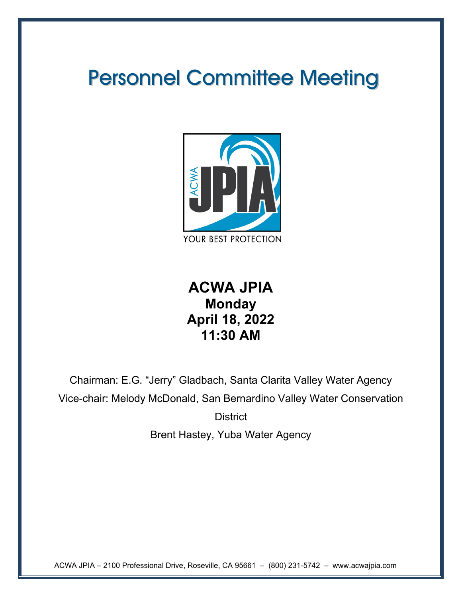# Personnel Committee Meeting



## **ACWA JPIA Monday April 18, 2022 11:30 AM**

Chairman: E.G. "Jerry" Gladbach, Santa Clarita Valley Water Agency Vice-chair: Melody McDonald, San Bernardino Valley Water Conservation **District** 

Brent Hastey, Yuba Water Agency

ACWA JPIA – 2100 Professional Drive, Roseville, CA 95661 – (800) 231-5742 – www.acwajpia.com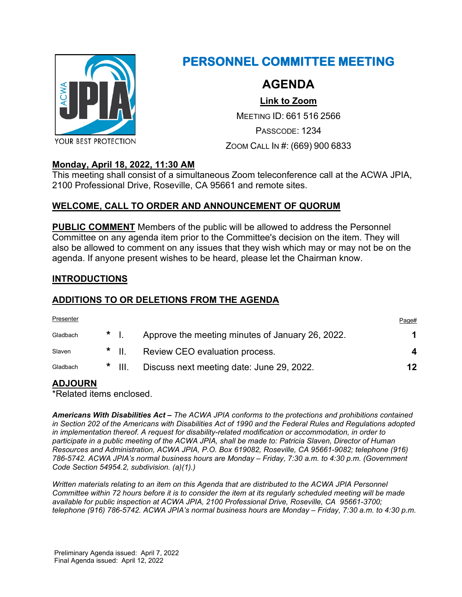

### **PERSONNEL COMMITTEE MEETING**

### **AGENDA**

**[Link to Zoom](https://us02web.zoom.us/j/6615162566?pwd=azhrRU1uR3ZrZVRLd0EyakthWHQ4dz09)**

MEETING ID: 661 516 2566

PASSCODE: 1234

ZOOM CALL IN #: (669) 900 6833

### **Monday, April 18, 2022, 11:30 AM**

This meeting shall consist of a simultaneous Zoom teleconference call at the ACWA JPIA, 2100 Professional Drive, Roseville, CA 95661 and remote sites.

### **WELCOME, CALL TO ORDER AND ANNOUNCEMENT OF QUORUM**

**PUBLIC COMMENT** Members of the public will be allowed to address the Personnel Committee on any agenda item prior to the Committee's decision on the item. They will also be allowed to comment on any issues that they wish which may or may not be on the agenda. If anyone present wishes to be heard, please let the Chairman know.

### **INTRODUCTIONS**

### **ADDITIONS TO OR DELETIONS FROM THE AGENDA**

| Presenter |     |                   |                                                  | Page# |
|-----------|-----|-------------------|--------------------------------------------------|-------|
| Gladbach  | $*$ |                   | Approve the meeting minutes of January 26, 2022. |       |
| Slaven    |     | $*$ $\parallel$ . | Review CEO evaluation process.                   | 4     |
| Gladbach  |     | $*$ III.          | Discuss next meeting date: June 29, 2022.        | 12    |

### **ADJOURN**

\*Related items enclosed.

*Americans With Disabilities Act – The ACWA JPIA conforms to the protections and prohibitions contained in Section 202 of the Americans with Disabilities Act of 1990 and the Federal Rules and Regulations adopted in implementation thereof. A request for disability-related modification or accommodation, in order to participate in a public meeting of the ACWA JPIA, shall be made to: Patricia Slaven, Director of Human Resources and Administration, ACWA JPIA, P.O. Box 619082, Roseville, CA 95661-9082; telephone (916) 786-5742. ACWA JPIA's normal business hours are Monday – Friday, 7:30 a.m. to 4:30 p.m. (Government Code Section 54954.2, subdivision. (a)(1).)*

*Written materials relating to an item on this Agenda that are distributed to the ACWA JPIA Personnel Committee within 72 hours before it is to consider the item at its regularly scheduled meeting will be made available for public inspection at ACWA JPIA, 2100 Professional Drive, Roseville, CA 95661-3700; telephone (916) 786-5742. ACWA JPIA's normal business hours are Monday – Friday, 7:30 a.m. to 4:30 p.m.*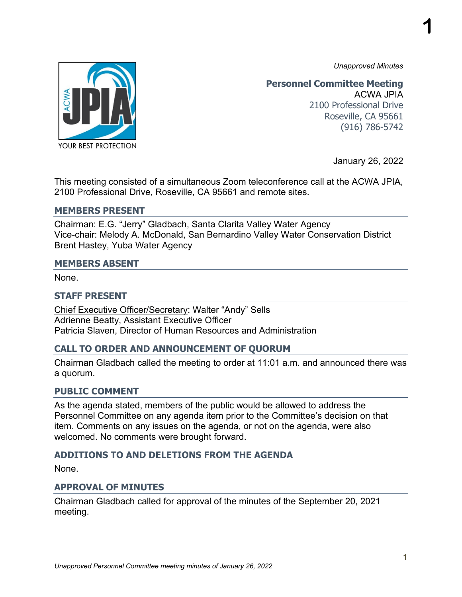*Unapproved Minutes*

**1**



**Personnel Committee Meeting** ACWA JPIA 2100 Professional Drive Roseville, CA 95661 (916) 786-5742

January 26, 2022

This meeting consisted of a simultaneous Zoom teleconference call at the ACWA JPIA, 2100 Professional Drive, Roseville, CA 95661 and remote sites.

#### **MEMBERS PRESENT**

Chairman: E.G. "Jerry" Gladbach, Santa Clarita Valley Water Agency Vice-chair: Melody A. McDonald, San Bernardino Valley Water Conservation District Brent Hastey, Yuba Water Agency

#### **MEMBERS ABSENT**

None.

#### **STAFF PRESENT**

Chief Executive Officer/Secretary: Walter "Andy" Sells Adrienne Beatty, Assistant Executive Officer Patricia Slaven, Director of Human Resources and Administration

### **CALL TO ORDER AND ANNOUNCEMENT OF QUORUM**

Chairman Gladbach called the meeting to order at 11:01 a.m. and announced there was a quorum.

### **PUBLIC COMMENT**

As the agenda stated, members of the public would be allowed to address the Personnel Committee on any agenda item prior to the Committee's decision on that item. Comments on any issues on the agenda, or not on the agenda, were also welcomed. No comments were brought forward.

### **ADDITIONS TO AND DELETIONS FROM THE AGENDA**

None.

### **APPROVAL OF MINUTES**

Chairman Gladbach called for approval of the minutes of the September 20, 2021 meeting.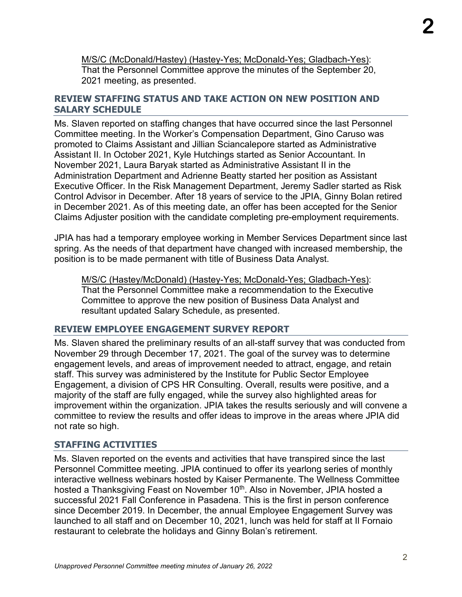M/S/C (McDonald/Hastey) (Hastey-Yes; McDonald-Yes; Gladbach-Yes): That the Personnel Committee approve the minutes of the September 20, 2021 meeting, as presented.

### **REVIEW STAFFING STATUS AND TAKE ACTION ON NEW POSITION AND SALARY SCHEDULE**

Ms. Slaven reported on staffing changes that have occurred since the last Personnel Committee meeting. In the Worker's Compensation Department, Gino Caruso was promoted to Claims Assistant and Jillian Sciancalepore started as Administrative Assistant II. In October 2021, Kyle Hutchings started as Senior Accountant. In November 2021, Laura Baryak started as Administrative Assistant II in the Administration Department and Adrienne Beatty started her position as Assistant Executive Officer. In the Risk Management Department, Jeremy Sadler started as Risk Control Advisor in December. After 18 years of service to the JPIA, Ginny Bolan retired in December 2021. As of this meeting date, an offer has been accepted for the Senior Claims Adjuster position with the candidate completing pre-employment requirements.

JPIA has had a temporary employee working in Member Services Department since last spring. As the needs of that department have changed with increased membership, the position is to be made permanent with title of Business Data Analyst.

M/S/C (Hastey/McDonald) (Hastey-Yes; McDonald-Yes; Gladbach-Yes): That the Personnel Committee make a recommendation to the Executive Committee to approve the new position of Business Data Analyst and resultant updated Salary Schedule, as presented.

### **REVIEW EMPLOYEE ENGAGEMENT SURVEY REPORT**

Ms. Slaven shared the preliminary results of an all-staff survey that was conducted from November 29 through December 17, 2021. The goal of the survey was to determine engagement levels, and areas of improvement needed to attract, engage, and retain staff. This survey was administered by the Institute for Public Sector Employee Engagement, a division of CPS HR Consulting. Overall, results were positive, and a majority of the staff are fully engaged, while the survey also highlighted areas for improvement within the organization. JPIA takes the results seriously and will convene a committee to review the results and offer ideas to improve in the areas where JPIA did not rate so high.

### **STAFFING ACTIVITIES**

Ms. Slaven reported on the events and activities that have transpired since the last Personnel Committee meeting. JPIA continued to offer its yearlong series of monthly interactive wellness webinars hosted by Kaiser Permanente. The Wellness Committee hosted a Thanksgiving Feast on November 10<sup>th</sup>. Also in November, JPIA hosted a successful 2021 Fall Conference in Pasadena. This is the first in person conference since December 2019. In December, the annual Employee Engagement Survey was launched to all staff and on December 10, 2021, lunch was held for staff at Il Fornaio restaurant to celebrate the holidays and Ginny Bolan's retirement.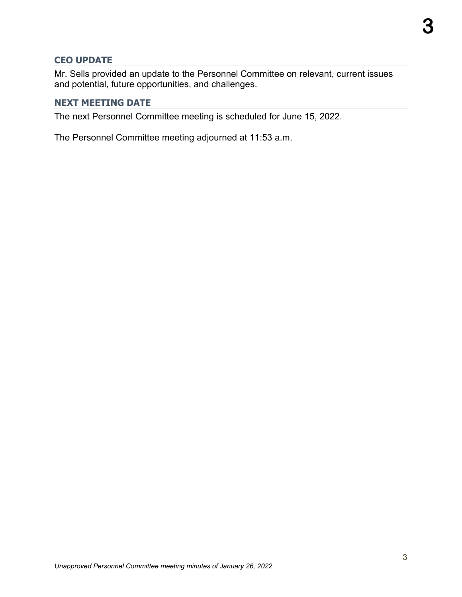### **CEO UPDATE**

Mr. Sells provided an update to the Personnel Committee on relevant, current issues and potential, future opportunities, and challenges.

### **NEXT MEETING DATE**

The next Personnel Committee meeting is scheduled for June 15, 2022.

The Personnel Committee meeting adjourned at 11:53 a.m.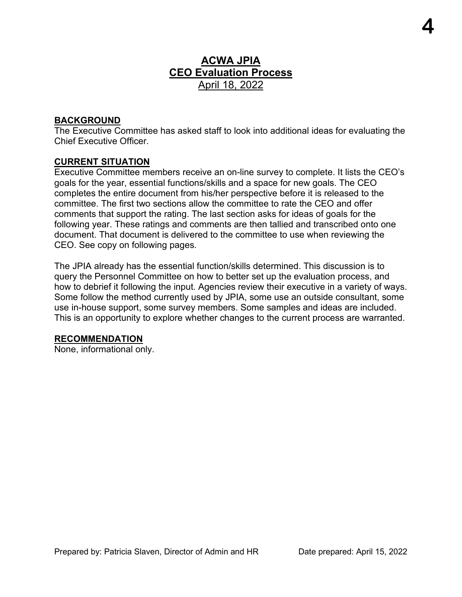### **ACWA JPIA CEO Evaluation Process** April 18, 2022

### **BACKGROUND**

The Executive Committee has asked staff to look into additional ideas for evaluating the Chief Executive Officer.

### **CURRENT SITUATION**

Executive Committee members receive an on-line survey to complete. It lists the CEO's goals for the year, essential functions/skills and a space for new goals. The CEO completes the entire document from his/her perspective before it is released to the committee. The first two sections allow the committee to rate the CEO and offer comments that support the rating. The last section asks for ideas of goals for the following year. These ratings and comments are then tallied and transcribed onto one document. That document is delivered to the committee to use when reviewing the CEO. See copy on following pages.

The JPIA already has the essential function/skills determined. This discussion is to query the Personnel Committee on how to better set up the evaluation process, and how to debrief it following the input. Agencies review their executive in a variety of ways. Some follow the method currently used by JPIA, some use an outside consultant, some use in-house support, some survey members. Some samples and ideas are included. This is an opportunity to explore whether changes to the current process are warranted.

### **RECOMMENDATION**

None, informational only.

**4**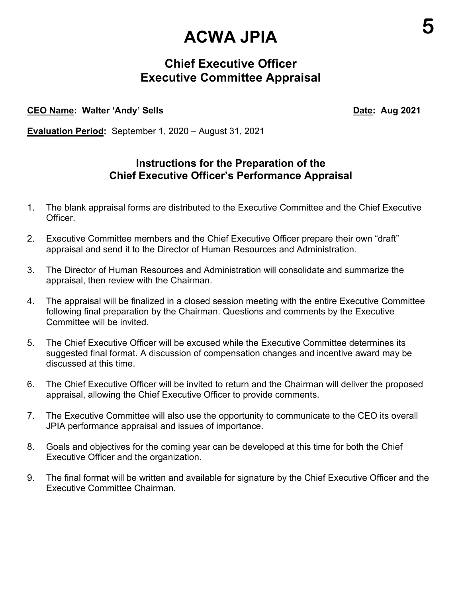# **ACWA JPIA**

### **Chief Executive Officer Executive Committee Appraisal**

### **CEO Name: Walter 'Andy' Sells Date: Aug 2021**

**Evaluation Period:** September 1, 2020 – August 31, 2021

### **Instructions for the Preparation of the Chief Executive Officer's Performance Appraisal**

- 1. The blank appraisal forms are distributed to the Executive Committee and the Chief Executive Officer.
- 2. Executive Committee members and the Chief Executive Officer prepare their own "draft" appraisal and send it to the Director of Human Resources and Administration.
- 3. The Director of Human Resources and Administration will consolidate and summarize the appraisal, then review with the Chairman.
- 4. The appraisal will be finalized in a closed session meeting with the entire Executive Committee following final preparation by the Chairman. Questions and comments by the Executive Committee will be invited.
- 5. The Chief Executive Officer will be excused while the Executive Committee determines its suggested final format. A discussion of compensation changes and incentive award may be discussed at this time.
- 6. The Chief Executive Officer will be invited to return and the Chairman will deliver the proposed appraisal, allowing the Chief Executive Officer to provide comments.
- 7. The Executive Committee will also use the opportunity to communicate to the CEO its overall JPIA performance appraisal and issues of importance.
- 8. Goals and objectives for the coming year can be developed at this time for both the Chief Executive Officer and the organization.
- 9. The final format will be written and available for signature by the Chief Executive Officer and the Executive Committee Chairman.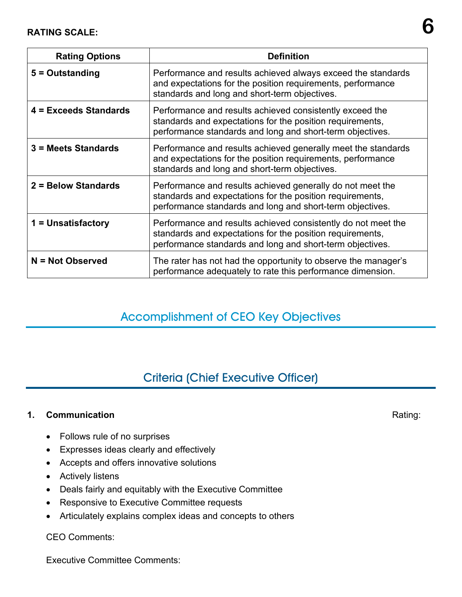| <b>Rating Options</b> | <b>Definition</b>                                                                                                                                                                       |  |  |
|-----------------------|-----------------------------------------------------------------------------------------------------------------------------------------------------------------------------------------|--|--|
| 5 = Outstanding       | Performance and results achieved always exceed the standards<br>and expectations for the position requirements, performance<br>standards and long and short-term objectives.            |  |  |
| 4 = Exceeds Standards | Performance and results achieved consistently exceed the<br>standards and expectations for the position requirements,<br>performance standards and long and short-term objectives.      |  |  |
| 3 = Meets Standards   | Performance and results achieved generally meet the standards<br>and expectations for the position requirements, performance<br>standards and long and short-term objectives.           |  |  |
| 2 = Below Standards   | Performance and results achieved generally do not meet the<br>standards and expectations for the position requirements,<br>performance standards and long and short-term objectives.    |  |  |
| 1 = Unsatisfactory    | Performance and results achieved consistently do not meet the<br>standards and expectations for the position requirements,<br>performance standards and long and short-term objectives. |  |  |
| N = Not Observed      | The rater has not had the opportunity to observe the manager's<br>performance adequately to rate this performance dimension.                                                            |  |  |

### Accomplishment of CEO Key Objectives

### Criteria (Chief Executive Officer)

### **1. Communication** Rating:

- Follows rule of no surprises
- Expresses ideas clearly and effectively
- Accepts and offers innovative solutions
- Actively listens
- Deals fairly and equitably with the Executive Committee
- Responsive to Executive Committee requests
- Articulately explains complex ideas and concepts to others

### CEO Comments:

Executive Committee Comments: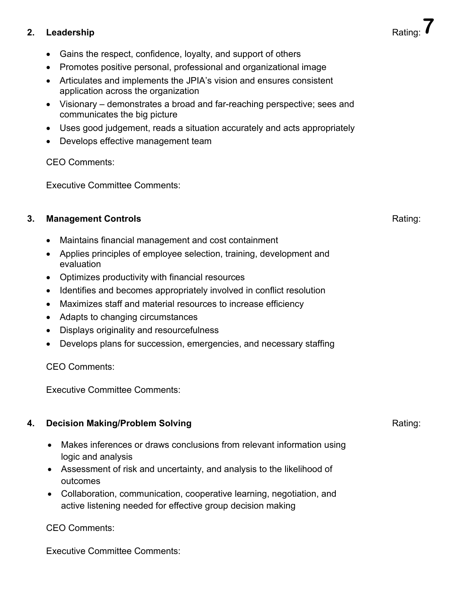### **2.** Leadership

- Gains the respect, confidence, loyalty, and support of others
- Promotes positive personal, professional and organizational image
- Articulates and implements the JPIA's vision and ensures consistent application across the organization
- Visionary demonstrates a broad and far-reaching perspective; sees and communicates the big picture
- Uses good judgement, reads a situation accurately and acts appropriately
- Develops effective management team

CEO Comments:

Executive Committee Comments:

### **3. Management Controls Rating: Rating: Rating: Rating: Rating: Rating:**

- Maintains financial management and cost containment
- Applies principles of employee selection, training, development and evaluation
- Optimizes productivity with financial resources
- Identifies and becomes appropriately involved in conflict resolution
- Maximizes staff and material resources to increase efficiency
- Adapts to changing circumstances
- Displays originality and resourcefulness
- Develops plans for succession, emergencies, and necessary staffing

CEO Comments:

Executive Committee Comments:

### **4. Decision Making/Problem Solving** Rating:

- Makes inferences or draws conclusions from relevant information using logic and analysis
- Assessment of risk and uncertainty, and analysis to the likelihood of outcomes
- Collaboration, communication, cooperative learning, negotiation, and active listening needed for effective [group decision making](http://www.decision-making-solutions.com/group-decision-making-process.html)

### CEO Comments:

Executive Committee Comments: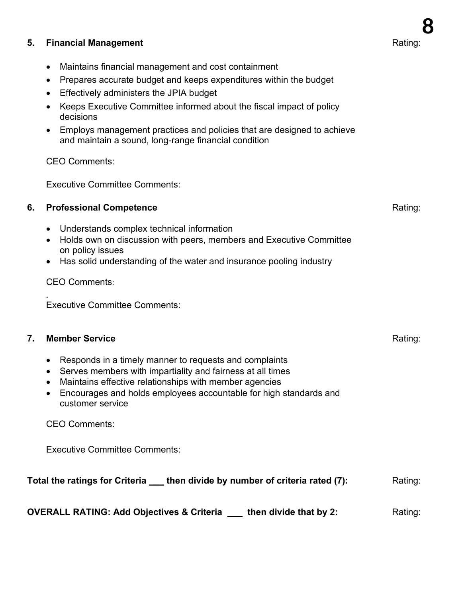### **5. Financial Management Rating: Rating: Rating: Rating: Rating: Rating:**

- Maintains financial management and cost containment
- Prepares accurate budget and keeps expenditures within the budget
- Effectively administers the JPIA budget
- Keeps Executive Committee informed about the fiscal impact of policy decisions
- Employs management practices and policies that are designed to achieve and maintain a sound, long-range financial condition

CEO Comments:

Executive Committee Comments:

#### **6. Professional Competence Rating: Rating: Rating: Rating: Rating: Rating:**

- Understands complex technical information
- Holds own on discussion with peers, members and Executive Committee on policy issues
- Has solid understanding of the water and insurance pooling industry

#### CEO Comments:

*.*  Executive Committee Comments:

#### **7. Member Service Rating: Rating: Rating: Rating: Rating: Rating: Rating:**

- Responds in a timely manner to requests and complaints
- Serves members with impartiality and fairness at all times
- Maintains effective relationships with member agencies
- Encourages and holds employees accountable for high standards and customer service

CEO Comments:

Executive Committee Comments:

### **Total the ratings for Criteria** then divide by number of criteria rated (7): Rating:

**OVERALL RATING: Add Objectives & Criteria \_\_\_ then divide that by 2:** Rating: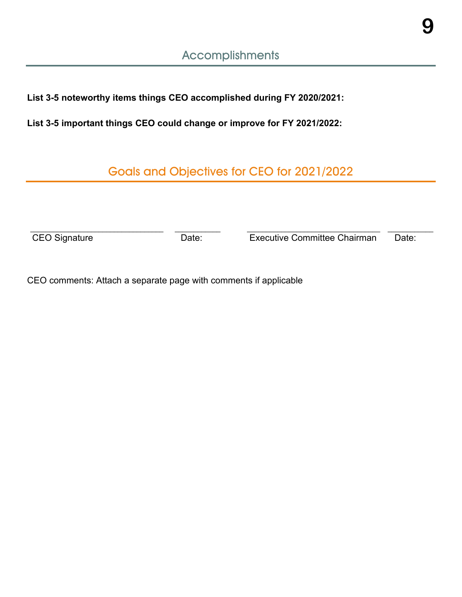**9**

**List 3-5 noteworthy items things CEO accomplished during FY 2020/2021:** 

**List 3-5 important things CEO could change or improve for FY 2021/2022:** 

Goals and Objectives for CEO for 2021/2022

 $\_$  , and the set of the set of the set of the set of the set of the set of the set of the set of the set of the set of the set of the set of the set of the set of the set of the set of the set of the set of the set of th CEO Signature **Date:** Date: **Date:** Executive Committee Chairman Date:

CEO comments: Attach a separate page with comments if applicable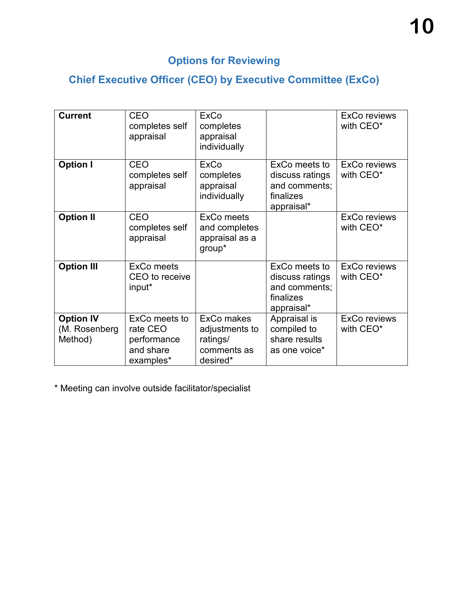### **Options for Reviewing**

### **Chief Executive Officer (CEO) by Executive Committee (ExCo)**

| <b>Current</b>                                | <b>CEO</b><br>completes self<br>appraisal                          | <b>ExCo</b><br>completes<br>appraisal<br>individually               |                                                                              | <b>ExCo reviews</b><br>with CEO* |
|-----------------------------------------------|--------------------------------------------------------------------|---------------------------------------------------------------------|------------------------------------------------------------------------------|----------------------------------|
| <b>Option I</b>                               | <b>CEO</b><br>completes self<br>appraisal                          | <b>ExCo</b><br>completes<br>appraisal<br>individually               | ExCo meets to<br>discuss ratings<br>and comments;<br>finalizes<br>appraisal* | <b>ExCo reviews</b><br>with CEO* |
| <b>Option II</b>                              | <b>CEO</b><br>completes self<br>appraisal                          | <b>ExCo meets</b><br>and completes<br>appraisal as a<br>group*      |                                                                              | <b>ExCo reviews</b><br>with CEO* |
| <b>Option III</b>                             | <b>ExCo meets</b><br>CEO to receive<br>input*                      |                                                                     | ExCo meets to<br>discuss ratings<br>and comments;<br>finalizes<br>appraisal* | <b>ExCo reviews</b><br>with CEO* |
| <b>Option IV</b><br>(M. Rosenberg)<br>Method) | ExCo meets to<br>rate CEO<br>performance<br>and share<br>examples* | ExCo makes<br>adjustments to<br>ratings/<br>comments as<br>desired* | Appraisal is<br>compiled to<br>share results<br>as one voice*                | <b>ExCo reviews</b><br>with CEO* |

\* Meeting can involve outside facilitator/specialist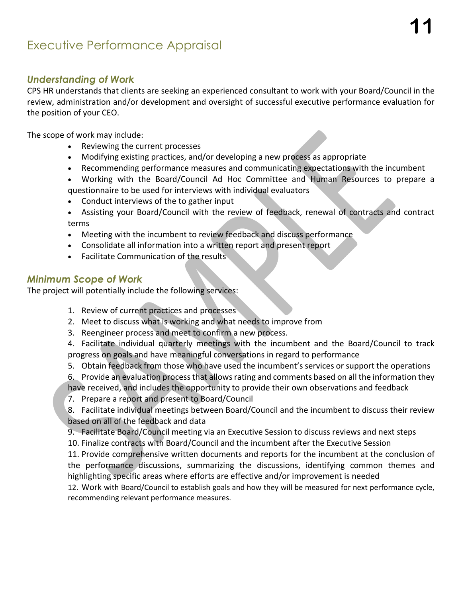### Executive Performance Appraisal

### *Understanding of Work*

CPS HR understands that clients are seeking an experienced consultant to work with your Board/Council in the review, administration and/or development and oversight of successful executive performance evaluation for the position of your CEO.

The scope of work may include:

- Reviewing the current processes
- Modifying existing practices, and/or developing a new process as appropriate
- Recommending performance measures and communicating expectations with the incumbent
- Working with the Board/Council Ad Hoc Committee and Human Resources to prepare a questionnaire to be used for interviews with individual evaluators
- Conduct interviews of the to gather input
- Assisting your Board/Council with the review of feedback, renewal of contracts and contract terms
- Meeting with the incumbent to review feedback and discuss performance
- Consolidate all information into a written report and present report
- Facilitate Communication of the results

### *Minimum Scope of Work*

The project will potentially include the following services:

- 1. Review of current practices and processes
- 2. Meet to discuss what is working and what needs to improve from
- 3. Reengineer process and meet to confirm a new process.

4. Facilitate individual quarterly meetings with the incumbent and the Board/Council to track progress on goals and have meaningful conversations in regard to performance

- 5. Obtain feedback from those who have used the incumbent's services or support the operations
- 6. Provide an evaluation process that allows rating and comments based on all the information they have received, and includes the opportunity to provide their own observations and feedback
- 7. Prepare a report and present to Board/Council
- 8. Facilitate individual meetings between Board/Council and the incumbent to discuss their review based on all of the feedback and data
- 9. Facilitate Board/Council meeting via an Executive Session to discuss reviews and next steps
- 10. Finalize contracts with Board/Council and the incumbent after the Executive Session

11. Provide comprehensive written documents and reports for the incumbent at the conclusion of the performance discussions, summarizing the discussions, identifying common themes and highlighting specific areas where efforts are effective and/or improvement is needed

12. Work with Board/Council to establish goals and how they will be measured for next performance cycle, recommending relevant performance measures.